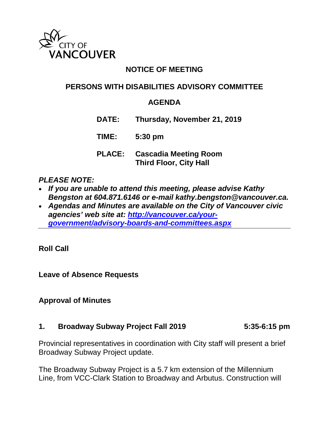

# **NOTICE OF MEETING**

## **PERSONS WITH DISABILITIES ADVISORY COMMITTEE**

#### **AGENDA**

**DATE: Thursday, November 21, 2019**

**TIME: 5:30 pm**

**PLACE: Cascadia Meeting Room Third Floor, City Hall**

#### *PLEASE NOTE:*

- *If you are unable to attend this meeting, please advise Kathy Bengston at 604.871.6146 or e-mail kathy.bengston@vancouver.ca.*
- *Agendas and Minutes are available on the City of Vancouver civic agencies' web site at: [http://vancouver.ca/your](http://vancouver.ca/your-government/advisory-boards-and-committees.aspx)[government/advisory-boards-and-committees.aspx](http://vancouver.ca/your-government/advisory-boards-and-committees.aspx)*

**Roll Call**

**Leave of Absence Requests**

#### **Approval of Minutes**

#### **1. Broadway Subway Project Fall 2019 5:35-6:15 pm**

Provincial representatives in coordination with City staff will present a brief Broadway Subway Project update.

The Broadway Subway Project is a 5.7 km extension of the Millennium Line, from VCC-Clark Station to Broadway and Arbutus. Construction will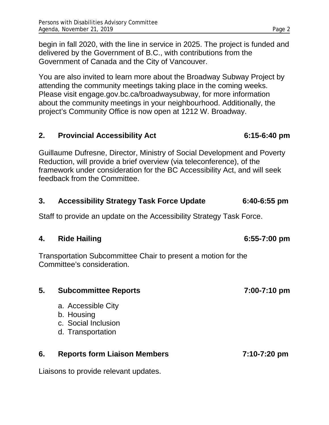begin in fall 2020, with the line in service in 2025. The project is funded and delivered by the Government of B.C., with contributions from the Government of Canada and the City of Vancouver.

You are also invited to learn more about the Broadway Subway Project by attending the community meetings taking place in the coming weeks. Please visit engage.gov.bc.ca/broadwaysubway, for more information about the community meetings in your neighbourhood. Additionally, the project's Community Office is now open at 1212 W. Broadway.

#### **2. Provincial Accessibility Act 6:15-6:40 pm**

Guillaume Dufresne, Director, Ministry of Social Development and Poverty Reduction, will provide a brief overview (via teleconference), of the framework under consideration for the BC Accessibility Act, and will seek feedback from the Committee.

#### **3. Accessibility Strategy Task Force Update 6:40-6:55 pm**

Staff to provide an update on the Accessibility Strategy Task Force.

#### **4. Ride Hailing 6:55-7:00 pm**

Transportation Subcommittee Chair to present a motion for the Committee's consideration.

# **5. Subcommittee Reports 7:00-7:10 pm** a. Accessible City b. Housing c. Social Inclusion d. Transportation **6. Reports form Liaison Members 7:10-7:20 pm**

Liaisons to provide relevant updates.